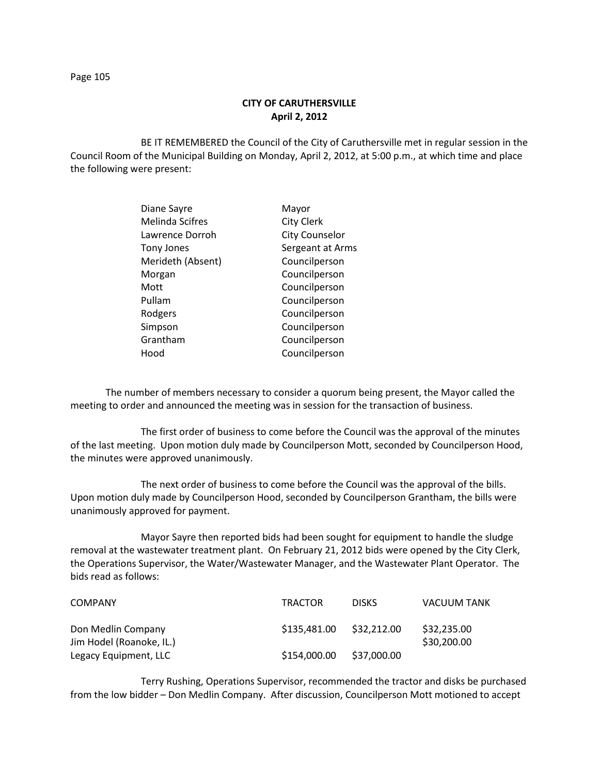## **CITY OF CARUTHERSVILLE April 2, 2012**

BE IT REMEMBERED the Council of the City of Caruthersville met in regular session in the Council Room of the Municipal Building on Monday, April 2, 2012, at 5:00 p.m., at which time and place the following were present:

| Diane Sayre       | Mayor                 |
|-------------------|-----------------------|
| Melinda Scifres   | <b>City Clerk</b>     |
| Lawrence Dorroh   | <b>City Counselor</b> |
| <b>Tony Jones</b> | Sergeant at Arms      |
| Merideth (Absent) | Councilperson         |
| Morgan            | Councilperson         |
| Mott              | Councilperson         |
| Pullam            | Councilperson         |
| Rodgers           | Councilperson         |
| Simpson           | Councilperson         |
| Grantham          | Councilperson         |
| Hood              | Councilperson         |
|                   |                       |

The number of members necessary to consider a quorum being present, the Mayor called the meeting to order and announced the meeting was in session for the transaction of business.

The first order of business to come before the Council was the approval of the minutes of the last meeting. Upon motion duly made by Councilperson Mott, seconded by Councilperson Hood, the minutes were approved unanimously.

The next order of business to come before the Council was the approval of the bills. Upon motion duly made by Councilperson Hood, seconded by Councilperson Grantham, the bills were unanimously approved for payment.

Mayor Sayre then reported bids had been sought for equipment to handle the sludge removal at the wastewater treatment plant. On February 21, 2012 bids were opened by the City Clerk, the Operations Supervisor, the Water/Wastewater Manager, and the Wastewater Plant Operator. The bids read as follows:

| <b>COMPANY</b>                                 | <b>TRACTOR</b> | <b>DISKS</b> | <b>VACUUM TANK</b>         |
|------------------------------------------------|----------------|--------------|----------------------------|
| Don Medlin Company<br>Jim Hodel (Roanoke, IL.) | \$135,481,00   | \$32.212.00  | \$32,235.00<br>\$30,200.00 |
| Legacy Equipment, LLC                          | \$154,000.00   | \$37,000.00  |                            |

Terry Rushing, Operations Supervisor, recommended the tractor and disks be purchased from the low bidder – Don Medlin Company. After discussion, Councilperson Mott motioned to accept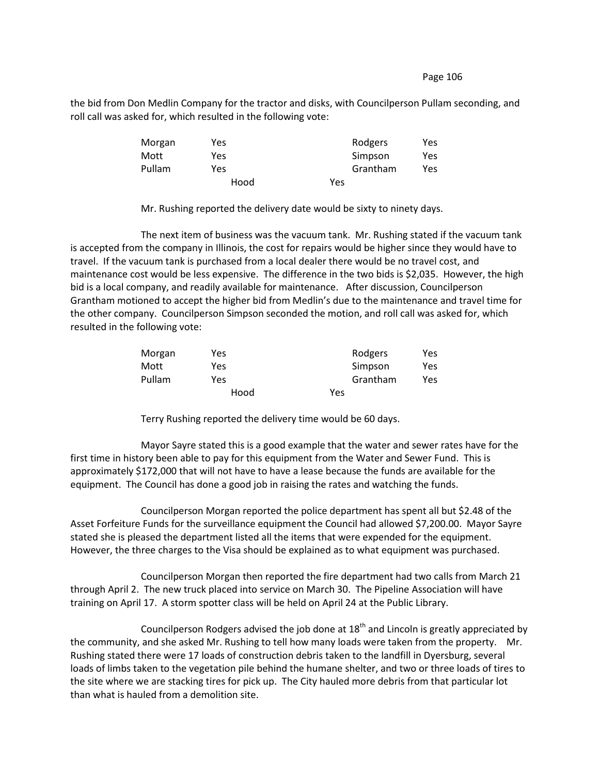the bid from Don Medlin Company for the tractor and disks, with Councilperson Pullam seconding, and roll call was asked for, which resulted in the following vote:

| Morgan | Yes  | Rodgers  | Yes |
|--------|------|----------|-----|
| Mott   | Yes  | Simpson  | Yes |
| Pullam | Yes  | Grantham | Yes |
|        | Hood | Yes      |     |

Mr. Rushing reported the delivery date would be sixty to ninety days.

The next item of business was the vacuum tank. Mr. Rushing stated if the vacuum tank is accepted from the company in Illinois, the cost for repairs would be higher since they would have to travel. If the vacuum tank is purchased from a local dealer there would be no travel cost, and maintenance cost would be less expensive. The difference in the two bids is \$2,035. However, the high bid is a local company, and readily available for maintenance. After discussion, Councilperson Grantham motioned to accept the higher bid from Medlin's due to the maintenance and travel time for the other company. Councilperson Simpson seconded the motion, and roll call was asked for, which resulted in the following vote:

| Morgan | Yes  | Rodgers  | Yes |
|--------|------|----------|-----|
| Mott   | Yes  | Simpson  | Yes |
| Pullam | Yes  | Grantham | Yes |
|        | Hood | Yes      |     |

Terry Rushing reported the delivery time would be 60 days.

Mayor Sayre stated this is a good example that the water and sewer rates have for the first time in history been able to pay for this equipment from the Water and Sewer Fund. This is approximately \$172,000 that will not have to have a lease because the funds are available for the equipment. The Council has done a good job in raising the rates and watching the funds.

Councilperson Morgan reported the police department has spent all but \$2.48 of the Asset Forfeiture Funds for the surveillance equipment the Council had allowed \$7,200.00. Mayor Sayre stated she is pleased the department listed all the items that were expended for the equipment. However, the three charges to the Visa should be explained as to what equipment was purchased.

Councilperson Morgan then reported the fire department had two calls from March 21 through April 2. The new truck placed into service on March 30. The Pipeline Association will have training on April 17. A storm spotter class will be held on April 24 at the Public Library.

Councilperson Rodgers advised the job done at  $18<sup>th</sup>$  and Lincoln is greatly appreciated by the community, and she asked Mr. Rushing to tell how many loads were taken from the property. Mr. Rushing stated there were 17 loads of construction debris taken to the landfill in Dyersburg, several loads of limbs taken to the vegetation pile behind the humane shelter, and two or three loads of tires to the site where we are stacking tires for pick up. The City hauled more debris from that particular lot than what is hauled from a demolition site.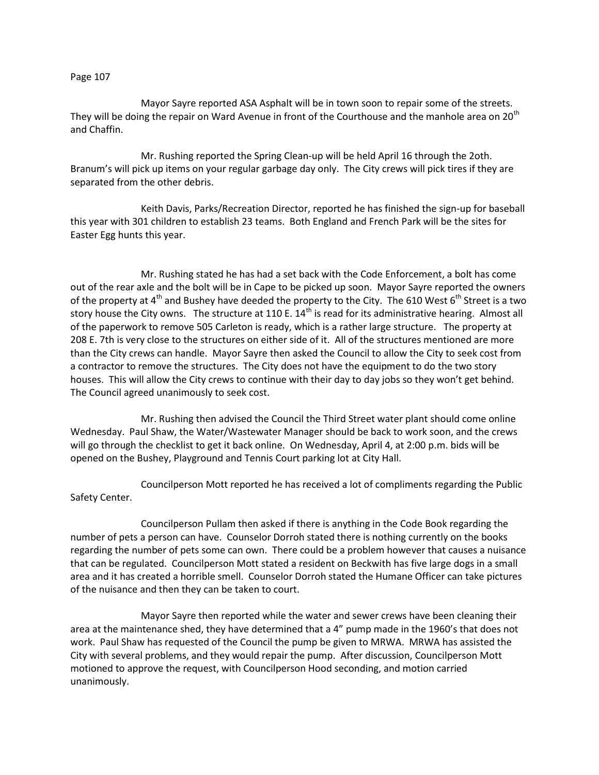Mayor Sayre reported ASA Asphalt will be in town soon to repair some of the streets. They will be doing the repair on Ward Avenue in front of the Courthouse and the manhole area on 20<sup>th</sup> and Chaffin.

Mr. Rushing reported the Spring Clean-up will be held April 16 through the 2oth. Branum's will pick up items on your regular garbage day only. The City crews will pick tires if they are separated from the other debris.

Keith Davis, Parks/Recreation Director, reported he has finished the sign-up for baseball this year with 301 children to establish 23 teams. Both England and French Park will be the sites for Easter Egg hunts this year.

Mr. Rushing stated he has had a set back with the Code Enforcement, a bolt has come out of the rear axle and the bolt will be in Cape to be picked up soon. Mayor Sayre reported the owners of the property at  $4^{\text{th}}$  and Bushey have deeded the property to the City. The 610 West  $6^{\text{th}}$  Street is a two story house the City owns. The structure at 110 E. 14<sup>th</sup> is read for its administrative hearing. Almost all of the paperwork to remove 505 Carleton is ready, which is a rather large structure. The property at 208 E. 7th is very close to the structures on either side of it. All of the structures mentioned are more than the City crews can handle. Mayor Sayre then asked the Council to allow the City to seek cost from a contractor to remove the structures. The City does not have the equipment to do the two story houses. This will allow the City crews to continue with their day to day jobs so they won't get behind. The Council agreed unanimously to seek cost.

Mr. Rushing then advised the Council the Third Street water plant should come online Wednesday. Paul Shaw, the Water/Wastewater Manager should be back to work soon, and the crews will go through the checklist to get it back online. On Wednesday, April 4, at 2:00 p.m. bids will be opened on the Bushey, Playground and Tennis Court parking lot at City Hall.

Councilperson Mott reported he has received a lot of compliments regarding the Public Safety Center.

Councilperson Pullam then asked if there is anything in the Code Book regarding the number of pets a person can have. Counselor Dorroh stated there is nothing currently on the books regarding the number of pets some can own. There could be a problem however that causes a nuisance that can be regulated. Councilperson Mott stated a resident on Beckwith has five large dogs in a small area and it has created a horrible smell. Counselor Dorroh stated the Humane Officer can take pictures of the nuisance and then they can be taken to court.

Mayor Sayre then reported while the water and sewer crews have been cleaning their area at the maintenance shed, they have determined that a 4" pump made in the 1960's that does not work. Paul Shaw has requested of the Council the pump be given to MRWA. MRWA has assisted the City with several problems, and they would repair the pump. After discussion, Councilperson Mott motioned to approve the request, with Councilperson Hood seconding, and motion carried unanimously.